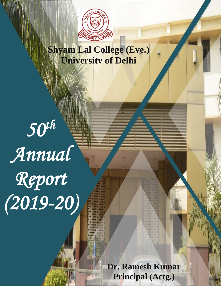

# **Shyam Lal College (Eve.) University of Delhi**

*50th Annual Report (2019-20)* 

**Dr. Ramesh Kumar Principal (Actg.)**

0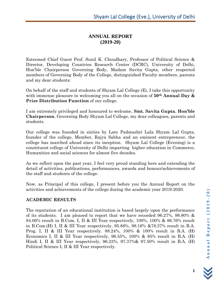# **ANNUAL REPORT (2019-20)**

Esteemed Chief Guest Prof. Sunil K. Choudhary, Professor of Political Science & Director, Developing Countries Research Center (DCRC), University of Delhi, Hon'ble Chairperson Governing Body, Madam Savita Gupta, other respected members of Governing Body of the College, distinguished Faculty members, parents and my dear students:

On behalf of the staff and students of Shyam Lal College (E), I take this opportunity with immense pleasure in welcoming you all on the occasion of **50th Annual Day & Prize Distribution Function** of our college.

I am extremely privileged and honoured to welcome, **Smt. Savita Gupta**, **Hon'ble Chairperson**, Governing Body Shyam Lal College, my dear colleagues, parents and students.

Our college was founded in sixties by Late Padmashri Lala Shyam Lal Gupta, founder of the college, Member, Rajya Sabha and an eminent entrepreneur, the college has marched ahead since its inception. Shyam Lal College (Evening) is a constituent college of University of Delhi imparting higher education in Commerce, Humanities and social sciences for almost five decades.

As we reflect upon the past year, I feel very proud standing here and extending the detail of activities, publications, performances, awards and honour/achievements of the staff and students of the college.

Now, as Principal of this college, I present before you the Annual Report on the activities and achievements of the college during the academic year 2019-2020.

# **ACADEMIC RESULTS**

The reputation of an educational institution is based largely upon the performance of its students. I am pleased to report that we have recorded 96.27%, 98.80% & 84.06% result in B.Com. I, II & III Year respectively, 100%, 100% & 86.76% result in B.Com.(H) I, II & III Year respectively, 95.88%, 98.16% &78.37% result in B.A. Prog. I, II & III Year respectively. 88.24%, 100% & 100% result in B.A. (H) Economics I, II & III Year respectively, 96.55%, 100% & 85% result in B.A. (H) Hindi I, II & III Year respectively, 96.23%, 97.37%& 97.50% result in B.A. (H) Political Science I, II & III Year respectively.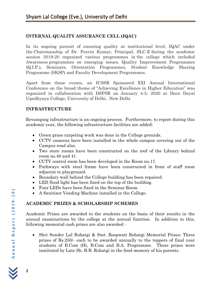# **INTERNAL QUALITY ASSURANCE CELL (IQAC)**

In its ongoing pursuit of ensuring quality at institutional level, IQAC under the Chairmanship of Dr. Pravin Kumar, Principal, SLC-E during the academic session 2019-20 organized various programmes in the college which included Awareness programmes on emerging issues, Quality Improvement Programmes (Q.I.P.), Seminars, Orientation Programmes, Student Knowledge Sharing Programme (SKSP) and Faculty Development Programmes.

Apart from these events, an ICSSR Sponsored XXI Annual International Conference on the broad theme of "Achieving Excellence in Higher Education" was organized in collaboration with DSPSR on January 4-5, 2020 at Deen Dayal Upadhyaya College, University of Delhi, New Delhi

# **INFRASTRUCTURE**

Revamping infrastructure is an ongoing process. Furthermore, to report during this academic year, the following infrastructure facilities are added:

- Green grass carpeting work was done in the College grounds.
- CCTV cameras have been installed in the whole campus covering out of the Campus road also.
- Two store rooms have been constructed on the roof of the Library behind room no.40 and 41.
- CCTV control room has been developed in the Room no.17.
- Pathways with steel frame have been constructed in front of staff room adjacent to playground.
- Boundary wall behind the College building has been repaired.
- LED flood light has been fixed on the top of the building.
- Four LEDs have been fixed in the Seminar Room.
- A Sanitizer Vending Machine installed in the College.

# **ACADEMIC PRIZES & SCHOLARSHIP SCHEMES**

Academic Prizes are awarded to the students on the basis of their results in the annual examinations by the college at the annual function. In addition to this, following memorial cash prizes are also awarded: -

• Shri Sunder Lal Rohatgi & Smt. Roopwati Rohatgi Memorial Prizes: Three prizes of Rs.250/- each to be awarded annually to the toppers of final year students of B.Com (H), B.Com and B.A. Programme. These prizes were instituted by Late Sh. B.B. Rohatgi in the fond memory of his parents.

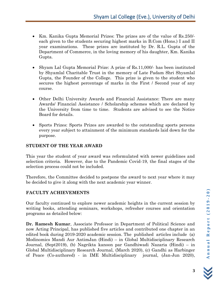- Km. Kanika Gupta Memorial Prizes: The prizes are of the value of Rs.250/ each given to the students securing highest marks in B.Com (Hons.) I and II year examinations. These prizes are instituted by Dr. R.L. Gupta of the Department of Commerce, in the loving memory of his daughter, Km. Kanika Gupta.
- Shyam Lal Gupta Memorial Prize: A prize of Rs.11,000/- has been instituted by Shyamlal Charitable Trust in the memory of Late Padam Shri Shyamlal Gupta, the Founder of the College. This prize is given to the student who secures the highest percentage of marks in the First / Second year of any course.
- Other Delhi University Awards and Financial Assistance: There are many Awards/ Financial Assistance / Scholarship schemes which are declared by the University from time to time. Students are advised to see the Notice Board for details.
- Sports Prizes: Sports Prizes are awarded to the outstanding sports persons every year subject to attainment of the minimum standards laid down for the purpose.

# **STUDENT OF THE YEAR AWARD**

This year the student of year award was reformulated with newer guidelines and selection criteria. However, due to the Pandemic Covid-19, the final stages of the selection process could not be included.

Therefore, the Committee decided to postpone the award to next year where it may be decided to give it along with the next academic year winner.

# **FACULTY ACHIEVEMENTS**

Our faculty continued to explore newer academic heights in the current session by writing books, attending seminars, workshops, refresher courses and orientation programs as detailed below:

**Dr. Ramesh Kumar**, Associate Professor in Department of Political Science and now Acting Principal, has published five articles and contributed one chapter in an edited book during 2019-2020 academic session. The published articles include (a) Modinomics Mandi Aur AntimJan (Hindi) – in Global Multidisciplinary Research Journal, (Sept2019), (b) Nagrikta kanoon par Gandhiwadi Nazaria (Hindi) – in Global Multidisciplinary Research Journal, (March 2020), (c) Gandhi as Harbinger of Peace (Co-authored) - in IME Multidisciplinary journal, (Jan-Jun 2020),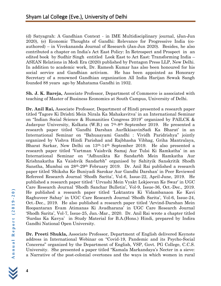(d) Satyagrah: A Gandhian Context - in IME Multidisciplinary journal, (Jan-Jun 2020), (e) Economic Thoughts of Gandhi: Relevance for Progressive India (coauthored) – in Vivekananda Journal of Research (Jan-Jun 2020). Besides, he also contributed a chapter on India's Act East Policy: In Retrospect and Prospect in an edited book by Sudhir Singh entitled Look East to Act East: Transforming India – ASEAN Relations in Modi Era (2020) published by Pentagon Press LLP, New Delhi. In addition to academic work, Dr. Ramesh Kumar has also been honoured for his social service and Gandhian activism. He has been appointed as Honorary Secretary of a renowned Gandhian organization All India Harijan Sewak Sangh founded 88 years ago by Mahatama Gandhi in 1932.

**Sh. J. K. Bareja,** Associate Professor, Department of Commerce is associated with teaching of Master of Business Economics at South Campus, University of Delhi.

**Dr. Anil Rai,** Associate Professor, Department of Hindi presented a research paper titled 'Tagore Ki Drishti Mein Nirala Ka Mahakavitva' in an International Seminar on "Indian Social Science & Humanities Congress 2019" organized by PAILCK & Jadavpur University, Kolkata (W.B.) on 7th-8th September 2019. He presented a research paper titled 'Gandhi Darshan AurIkkisavinSadi Ka Bharat' in an International Seminar on "Bahuaayami Gandhi : Vividh Paridrishya" jointly organized by Vishva Hindi Parishad and Rajbhasha Vibhag, Griha Mantralaya, Bharat Sarkar, New Delhi on 13th-14th September 2019. He also presented a research paper titled 'Vartman Vaishvik Samaj Aur Tulsi Ki Ramkatha' in an International Seminar on "Adhunikta Ke Sandarbh Mein Ramkatha Aur Krishnakatha Ka Vaishvik Sandarbh" organised by Sahityik Sanskritik Shodh Sanstha, Mumbai on 28th-29th February 2019. Dr. Anil Rai published a research paper titled 'Shiksha Ke Buniyadi Sarokar Aur Gandhi Darshan' in Peer Reviewed Refereed Research Journal 'Shodh Sarita', Vol-6, Issue-22, April-June, 2019. He published a research paper titled ' Urvashi Mein Vyakt Lokjeevan Ke Swar' in UGC Care Research Journal 'Shodh Sanchar Bulletin', Vol-9, Issue-36, Oct.-Dec., 2019. He published a research paper titled 'Loktantra Ki Vidambanaon Ke Kavi Raghuveer Sahay' in UGC Care Research Journal 'Shodh Sarita', Vol-6, Issue-24, Oct.-Dec., 2019. He also published a research paper titled 'Arvind-Darshan Mein Roopantaran Evam Atimanas Ki Avadharana' in UGC Care Research Journal 'Shodh Sarita', Vol-7, Issue-25, Jan.-Mar., 2020. Dr. Anil Rai wrote a chapter titled 'Surdas Ka Kavya' in Study Material for B.A.(Hons.) Hindi, prepared by Indira Gandhi National Open University.

**Dr. Preeti Shukla,** Associate Professor, Department of English delivered Keynote address in International Webinar on "Covid-19, Pandemic and its Psycho-Social Concerns" organized by the Department of English, VSP, Govt. PG College, C.C.S. University. She presented a paper titled "Kamala Markandaya's Necter in a sieve: a Narrative of the post-colonial overtones and the ways in which women in rural

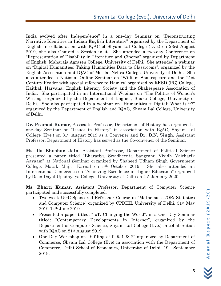India evolved after Independence" in a one-day Seminar on "Deconstructing Narrative Identities in Indian English Literature" organized by the Department of English in collaboration with IQAC of Shyam Lal College (Eve.) on 23rd August 2019, she also Chaired a Session in it. She attended a two-day Conference on "Representation of Disability in Literature and Cinema" organized by Department of English, Maharaja Agrasen College, University of Delhi. She attended a webinar on "Digital Humanities: Taking Humanities Data to Classrooms", organized by the English Association and IQAC of Motilal Nehru College, University of Delhi. She also attended a National Online Seminar on "William Shakespeare and the 21st Century Reader with special reference to Hamlet" organized by RKSD (PG) College, Kaithal, Haryana, English Literary Society and the Shakespeare Association of India. She participated in an International Webinar on "The Politics of Women's Writing" organized by the Department of English, Bharti College, University of Delhi. She also participated in a webinar on "Humanities + Digital: What is it?" organized by the Department of English and IQAC, Shyam Lal College, University of Delhi.

**Dr. Pramod Kumar**, Associate Professor, Department of History has organized a one-day Seminar on "Issues in History" in association with IQAC, Shyam Lal College (Eve.) on 31st August 2019 as a Convener and **Dr. D.N. Singh**, Assistant Professor, Department of History has served as the Co-convener of the Seminar.

**Ms. Ila Bhushan Jain**, Assistant Professor, Department of Political Science presented a paper titled "Bharatiya Swadheenta Sangram: Vividh Vaicharik Aayaam" at National Seminar organized by Shaheed Udham Singh Government College, Matak Majri, Karnal on 5th October 2019. She also attended an International Conference on "Achieving Excellence in Higher Education" organized by Deen Dayal Upadhyaya College, University of Delhi on 4-5 January 2020.

**Ms. Bharti Kumar**, Assistant Professor, Department of Computer Science participated and successfully completed:

- Two-week UGC-Sponsored Refresher Course in "Mathematics/OR/ Statistics and Computer Science" organized by CPDHE, University of Delhi, 31st May 2019-14th June 2019.
- Presented a paper titled: "IoT: Changing the World", in a One Day Seminar titled: "Contemporary Developments in Internet", organized by the Department of Computer Science, Shyam Lal College (Eve.) in collaboration with IQAC on 21<sup>st</sup> August 2019.
- One Day Workshop on "E-filing of ITR 1 & 2" organized by Department of Commerce, Shyam Lal College (Eve) in association with the Department of Commerce, Delhi School of Economics, University of Delhi, 19th September 2019.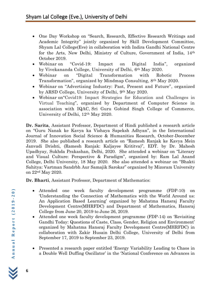- One Day Workshop on "Search, Research, Effective Research Writings and Academic Integrity" jointly organized by Skill Development Committee, Shyam Lal College(Eve) in collaboration with Indira Gandhi National Centre for the Arts, New Delhi, Ministry of Culture, Government of India, 14th October 2019.
- Webinar on "Covid-19: Impact on Digital India", organized by Vivekananda College, University of Delhi, 6th May 2020.
- Webinar on "Digital Transformation with Robotic Process Transformation", organized by Mindmap Consulting, 8th May 2020.
- Webinar on "Advertising Industry: Past, Present and Future", organized by ARSD College, University of Delhi, 9th May 2020.
- Webinar on"Covid19: Impact Strategies for Education and Challenges in Virtual Teaching", organized by Department of Computer Science in association with IQAC, Sri Guru Gobind Singh College of Commerce, University of Delhi, 12th May 2020.

**Dr. Sarita**, Assistant Professor, Department of Hindi published a research article on "Guru Nanak ke Kavya ka Vishaya Sapeksh Adhyan", in the International Journal of Innovation Social Science & Humanities Research, October-December 2019. She also published a research article on "Ramesh Ranjak ke Kavya Mein Janvadi Drishti, (Ramesh Ranjak: Kaljayee Krititva)", EDT. by Dr. Mahesh Upadhyay, Sukhda Prakashan, Delhi, 2020. She attended a webinar on "Literary and Visual Culture: Perspective & Paradigm", organized by: Ram Lal Anand College, Delhi University, 18 May 2020. She also attended a webinar on "Bhakti Sahitya: Vartman Sandrbh Aur Samajik Sarokar" organized by Mizoram University on 22nd May 2020.

**Dr. Bharti**, Assistant Professor, Department of Mathematics:

- Attended one week faculty development programme (FDP-10) on 'Understanding the Connection of Mathematics with the World Around us: An Application Based Learning' organized by Mahatma Hansraj Faculty Development Centre(MHRFDC) and Department of Mathematics, Hansraj College from June 20, 2019 to June 26, 2019.
- Attended one week faculty development programme (FDP-14) on 'Revisiting Gandhi Today: Questions of Caste, Class, Gender, Religion and Environment' organized by Mahatma Hansraj Faculty Development Centre(MHRFDC) in collaboration with Zakir Husain Delhi College, University of Delhi from September 17, 2019 to September 23, 2019.
- Presented a research paper entitled 'Energy Variability Leading to Chaos in a Double Well Duffing Oscillator' in the 'National Conference on Advances in

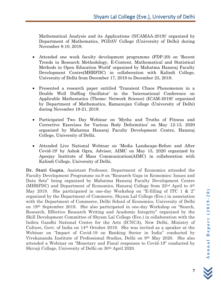Mathematical Analysis and its Applications (NCAMAA-2019)' organized by Department of Mathematics, PGDAV College (University of Delhi) during November 8-10, 2019.

- Attended one week faculty development programme (FDP-20) on 'Recent Trends in Research Methodology, E-Content, Mathematical and Statistical Methods in Open Education World' organized by Mahatma Hansraj Faculty Development Centre(MHRFDC) in collaboration with Kalindi College, University of Delhi from December 17, 2019 to December 23, 2019.
- Presented a research paper entitled 'Transient Chaos Phenomenon in a Double Well Duffing Oscillator' in the 'International Conference on Applicable Mathematics (Theme: Network Science) (ICAM-2019)' organized by Department of Mathematics, Ramanujan College (University of Delhi) during November 19-21, 2019.
- Participated Two Day Webinar on 'Myths and Truths of Fitness and Corrective Exercises for Various Body Deformities' on May 12-13, 2020 organized by Mahatma Hansraj Faculty Development Centre, Hansraj College, University of Delhi.
- Attended Live National Webinar on 'Media Landscape-Before and After Covid-19' by Ashok Ogra, Advisor, AIMC on May 15, 2020 organized by Apeejay Institute of Mass Communication(AIMC) in collaboration with Kalindi College, University of Delhi.

**Dr. Stuti Gupta**, Assistant Professor, Department of Economics attended the Faculty Development Programme no.9 on "Research Gaps in Economics: Issues and Data Sets" being organized by Mahatma Hansraj Faculty Development Centre (MHRFDC) and Department of Economics, Hansraj College from 22nd April to 4th May 2019. She participated in one-day Workshop on "E-filling of ITC 1 & 2" organized by the Department of Commerce, Shyam Lal College (Eve.) in association with the Department of Commerce, Delhi School of Economics, University of Delhi on 19th September 2019. She also participated in one-day Workshop on "Search, Research, Effective Research Writing and Academic Integrity" organized by the Skill Development Committee of Shyam Lal College (Eve.) in collaboration with the Indira Gandhi National Centre for the Arts (ICNCA), New Delhi, Ministry of Culture, Govt. of India on 14th October 2019. She was invited as a speaker at the Webinar on "Impact of Covid-19 on Banking Sector in India" conducted by Vivekananda Institute of Professional Studies, Delhi on 9th May 2020. She also attended a Webinar on "Monetary and Fiscal responses to Covid-19" conducted by Shivaji College, University of Delhi on 30th April 2020.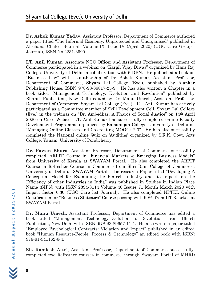**Dr. Ashok Kumar Yadav**, Assistant Professor, Department of Commerce authored a paper titled "The Informal Economy: Unprotected and Unorganised" published in Alochana Chakra Journal, Volume-IX, Issue-IV (April 2020) (UGC Care Group-I Journal), ISSN No.2231-3990.

**LT. Anil Kumar**, Associate NCC Officer and Assistant Professor, Department of Commerce participated in a webinar on "Kargil Vijay Diwas" organized by Hans Raj College, University of Delhi in collaboration with 6 DBN. He published a book on "Business Law" with co-authorship of Dr. Ashok Kumar, Assistant Professor, Department of Commerce, Shyam Lal College (Eve.), published by Alankar Publishing House, ISBN 978-93-86817-25-9. He has also written a Chapter in a book titled "Management Technology: Evolution and Revolution" published by Bharat Publication, New Delhi edited by Dr. Manu Umesh, Assistant Professor, Department of Commerce, Shyam Lal College (Eve.). LT. Anil Kumar has actively participated as a Committee member of Skill Development Cell, Shyam Lal College (Eve.) in the webinar on "Dr. Ambedkar: A Pharos of Social Justice" on 14th April 2020 on Cisco Webex. LT. Anil Kumar has successfully completed online Faculty Development Programme organized by Ramanujan College, University of Delhi on "Managing Online Classes and Co-creating MOOCs 2.0". He has also successfully completed the National online Quiz on 'Auditing' organized by S.R.K. Govt. Arts College, Yanam, University of Pondicherry.

**Dr. Pawan Bhura**, Assistant Professor, Department of Commerce successfully completed 'ARPIT' Course in "Financial Markets & Emerging Business Models" from University of Kerala at SWAYAM Portal. He also completed the ARPIT Course in Refresher Course in Commerce from Shri Ram College of Commerce, University of Delhi at SWAYAM Portal. His research Paper titled "Developing A Conceptual Model for Examining the Fintech Industry and Its Impact on the Efficiency of other Industries in India" was published in Studies in Indian Place Name (SIPN) with ISSN 2394-3114 Volume 40 Issues 71 Month March 2020 with Impact factor 6.30 (UGC Care list Journal). He also completed NPTEL Online Certification for "Business Statistics" Course passing with 99% from IIT Roorkee at SWAYAM Portal.

**Dr. Manu Umesh**, Assistant Professor, Department of Commerce has edited a book titled "Management Technology-Evolution to Revolution" from Bharti Publication, New Delhi with ISBN: 978-93-89657-11-1. He also wrote a paper titled "Employee Psychological Contracts: Violation and Impact" published in an edited book "Human Resource-People, Process & Technology" an edited book with ISBN: 978-81-941162-6-4.

**Sh. Kamlesh Attri**, Assistant Professor, Department of Commerce successfully completed two Refresher courses in commerce through Swayam Portal of MHRD

**8**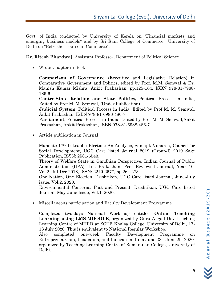Govt. of India conducted by University of Kerela on "Financial markets and emerging business models" and by Sri Ram College of Commerce, University of Delhi on "Refresher course in Commerce".

**Dr. Ritesh Bhardwaj**, Assistant Professor, Department of Political Science

• Wrote Chapter in Book

**Comparison of Governance** (Executive and Legislative Relation) in Comparative Government and Politics, edited by Prof. M.M. Semwal & Dr. Manish Kumar Mishra, Ankit Prakashan, pp.125-164, ISBN 978-81-7988- 186-6

**Centre-State Relation and State Politics,** Political Process in India, Edited by Prof M. M. Semwal, (Under Publication)

**Judicial System**, Political Process in India, Edited by Prof M. M. Semwal, Ankit Prakashan, ISBN 978-81-6988-486-7

**Parliament,** Political Process in India, Edited by Prof M. M. Semwal,Ankit Prakashan, Ankit Prakashan, ISBN 978-81-6988-486-7.

• Article publication in Journal

Mandate 17th Loksabha Election: An Analysis, Samajik Vimarsh, Council for Social Development, UGC Care listed Journal 2019 (Group-I) 2019 Sage Publication, ISSN: 2581-6543.

Theory of Welfare State in Gandhian Perspective, Indian Journal of Public Administration (IIPA), Lok Prakashan, Peer Reviewed Journal, Year 10, Vol.2, Jul-Dec 2018, ISSN: 2249-2577, pp.264-273.

One Nation, One Election, Drishtikon, UGC Care listed Journal, June-July issue, Vol.2, 2020.

Environmental Concerns: Past and Present, Drishtikon, UGC Care listed Journal, May-June Issue, Vol.1, 2020.

• Miscellaneous participation and Faculty Development Programme

Completed two-days National Workshop entitled **Online Teaching Learning using LMS-MOODLE**, organized by Guru Angad Dev Teaching Learning Centre of MHRD at SGTB Khalsa College, University of Delhi, 17- 18 July 2020. This is equivalent to National Regular Workshop.

Also completed one-week Faculty Development Programme on Entrepreneurship, Incubation, and Innovation, from June 23 - June 29, 2020, organized by Teaching Learning Centre of Ramanujan College, University of Delhi.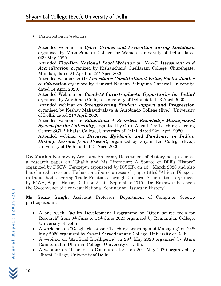• Participation in Webinars

Attended webinar on *Cyber Crimes and Prevention during Lockdown* organised by Mata Sundari College for Women, University of Delhi, dated 06th May 2020.

Attended *Five-Day National Level Webinar on NAAC Assessment and Accreditation o*rganized by Kishanchand Chellaram College, Churehgate, Mumbai, dated 21 April to 25th April 2020,

Attended webinar on *Dr Ambedkar: Constitutional Value, Social Justice & Education* organised by Hemvati Nandan Bahuguna Garhwal University, dated 14 April 2020.

Attended Webinar on *Covid-19 Catastrophe-An Opportunity for India?* organised by Aurobindo College, University of Delhi, dated 23 April 2020.

Attended webinar on *Strengthening Student support and Progression* organised by Keshav Mahavidyalaya & Aurobindo College (Eve.), University of Delhi, dated 21st April 2020.

Attended webinar on *Education: A Seamless Knowledge Management System for the University*, organised by Guru Angad Dev Teaching learning Centre SGTB Khalsa College, University of Delhi, dated 22nd April 2020

Attended webinar on *Diseases, Epidemic and Pandemic in Indian History: Lessons from Present*, organized by Shyam Lal College (Eve.), University of Delhi, dated 21 April 2020.

**Dr. Manish Karmwar,** Assistant Professor, Department of History has presented a research paper on "Ghalib and his Literature: A Source of Dilli's History" organized by DSCW, Ferozepur (sponsored by ICSSR), on 13th March 2020 and also has chaired a session. He has contributed a research paper titled "African Diaspora in India: Rediscovering Trade Relations through Cultural Assimilation" organized by ICWA, Sapru House, Delhi on 3rd-4th September 2019. Dr. Karmwar has been the Co-convener of a one-day National Seminar on "Issues in History".

**Ms. Sonia Singh**, Assistant Professor, Department of Computer Science participated in:

- A one week Faculty Development Programme on "Open source tools for Research" from 8th June to 14th June 2020 organized by Ramanujan College, University of Delhi.
- A workshop on "Google classroom: Teaching Learning and Managing" on 24<sup>th</sup> May 2020 organized by Swami Shraddhanand College, University of Delhi.
- A webinar on "Artificial Intelligence" on 29<sup>th</sup> May 2020 organized by Atma Ram Sanatan Dharma College, University of Delhi.
- A webinar on "Leaders as Communicators" on 20th May 2020 organized by Bharti College, University of Delhi.

**10**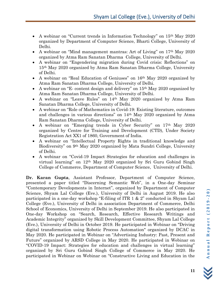- A webinar on "Current trends in Information Technology" on 15<sup>th</sup> May 2020 organized by Department of Computer Science, Bharti College, University of Delhi.
- A webinar on "Mind management mantras: Art of Living" on 17<sup>th</sup> May 2020 organized by Atma Ram Sanatan Dharma College, University of Delhi.
- A webinar on "Engendering migration during Covid crisis: Reflections" on 15th May 2020 organized by Atma Ram Sanatan Dharma College, University of Delhi.
- A webinar on "Real Education of Geniuses" on 16<sup>th</sup> May 2020 organized by Atma Ram Sanatan Dharma College, University of Delhi.
- A webinar on "E- content design and delivery" on 15<sup>th</sup> May 2020 organized by Atma Ram Sanatan Dharma College, University of Delhi.
- A webinar on "Leave Rules" on 14th May 2020 organized by Atma Ram Sanatan Dharma College, University of Delhi.
- A webinar on "Role of Mathematics in Covid-19: Existing literature, outcomes and challenges in various directions" on 14th May 2020 organized by Atma Ram Sanatan Dharma College, University of Delhi.
- A webinar on "Emerging trends in Cyber Security" on 17th May 2020 organized by Centre for Training and Development (CTD), Under Society Registration Act XX1 of 1860, Government of India.
- A webinar on "Intellectual Property Rights in traditional knowledge and Biodiversity" on 9th May 2020 organized by Mata Sundri College, University of Delhi.
- A webinar on "Covid-19 Impact Strategies for education and challenges in virtual learning" on 12th May 2020 organized by Sri Guru Gobind Singh College of Commerce, Department of Computer Science, University of Delhi.

**Dr. Karan Gupta**, Assistant Professor, Department of Computer Science, presented a paper titled "Discerning Semantic Web", in a One-day Seminar "Contemporary Developments in Internet", organized by Department of Computer Science, Shyam Lal College (Eve.), University of Delhi in August 2019. He also participated in a one-day workshop "E-filing of ITR 1 & 2" conducted in Shyam Lal College (Eve.), University of Delhi in association Department of Commerce, Delhi School of Economics, University of Delhi in September 2019. He also participated in One-day Workshop on "Search, Research, Effective Research Writings and Academic Integrity" organized by Skill Development Committee, Shyam Lal College (Eve.), University of Delhi in October 2019. He participated in Webinar on "Driving digital transformation using Robotic Process Automation" organized by DCAC in May 2020. He participated in Webinar on "Advertising Industry: Past, Present and Future" organized by ARSD College in May 2020. He participated in Webinar on "COVID-19 Impact: Strategies for education and challenges in virtual learning" organized by Sri Guru Gobind Singh College of Commerce in May 2020. He participated in Webinar on Webinar on "Constructive Living and Education in the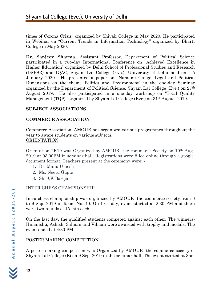times of Corona Crisis" organized by Shivaji College in May 2020. He participated in Webinar on "Current Trends in Information Technology" organized by Bharti College in May 2020.

**Dr. Sanjeev Sharma**, Assistant Professor, Department of Political Science participated in a two-day International Conference on "Achieved Excellence in Higher Education" organized by Delhi School of Professional Studies and Research (DSPSR) and IQAC, Shyam Lal College (Eve.), University of Delhi held on 4-5 January 2020. He presented a paper on "Namami Gange, Legal and Political Dimensions on the theme Politics and Environment" in the one-day Seminar organized by the Department of Political Science, Shyam Lal College (Eve.) on 27th August 2019. He also participated in a one-day workshop on "Total Quality Management (TQP)" organized by Shyam Lal College (Eve.) on 31st August 2019.

# **SUBJECT ASSOCIATIONS**

# **COMMERCE ASSOCIATION**

Commerce Association, AMOUR has organized various programmes throughout the year to aware students on various subjects. ORIENTATION

Orientation 2K19 was Organized by AMOUR- the commerce Society on 19th Aug. 2019 at 03:00PM in seminar hall. Registrations were filled online through a google document format. Teachers present at the ceremony were: -

- 1. Dr. Manu Umesh
- 2. Ms. Neetu Gupta
- 3. Sh. J.K Bareja

# INTER CHESS CHAMPIONSHIP

Intra chess championship was organized by AMOUR- the commerce society from 6 to 9 Sep. 2019 in Room No. 40. On first day, event started at 2:30 PM and there were two rounds of 45 min each.

On the last day, the qualified students competed against each other. The winners-Himanshu, Ashish, Salman and Vihaan were awarded with trophy and medals. The event ended at 4:30 PM.

# POSTER MAKING COMPETITION

A poster making competition was Organized by AMOUR- the commerce society of Shyam Lal College (E) on 9 Sep, 2019 in the seminar hall. The event started at 3pm

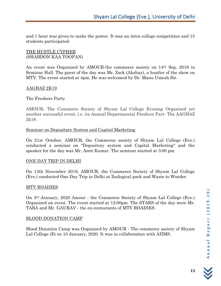and 1 hour was given to make the poster. It was an intra college competition and 15 students participated.

#### THE HUSTLE CYPHER (SHABDON KAA TOOFAN)

An event was Organized by AMOUR-the commerce society on 14th Sep, 2019 in Seminar Hall. The guest of the day was Mr. Zack (Akshay), a hustler of the show on MTV. The event started at 4pm. He was welcomed by Dr. Manu Umesh Sir.

#### AAGHAZ 2K19

#### The Freshers Party

AMOUR- The Commerce Society of Shyam Lal College Evening Organized yet another successful event, i.e. its Annual Departmental Freshers Part- The AAGHAZ 2k19.

#### Seminar on Depositary System and Capital Marketing

On 21st October, AMOUR, the Commerce society of Shyam Lal College (Eve.) conducted a seminar on "Depository system and Capital Marketing" and the speaker for the day was Mr. Amit Kumar. The seminar started at 3:00 pm.

#### ONE DAY TRIP IN DELHI

On 13th November 2019, AMOUR, the Commerce Society of Shyam Lal College (Eve.) conducted One Day Trip in Delhi at Zoological park and Waste to Wonder.

#### MTV ROADIES

On 3rd January, 2020 Amour - the Commerce Society of Shyam Lal College (Eve.) Organized an event. The event started at 12:00pm. The STARS of the day were Mr. TARA and Mr. GAURAV - the ex-contestants of MTV ROADIES.

#### BLOOD DONATION CAMP

Blood Donation Camp was Organized by AMOUR - The commerce society of Shyam Lal College (E) on 10 January, 2020. It was in collaboration with AIIMS.

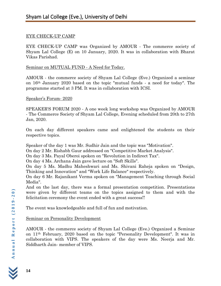#### EYE CHECK-UP CAMP

EYE CHECK-UP CAMP was Organized by AMOUR - The commerce society of Shyam Lal College (E) on 10 January, 2020. It was in collaboration with Bharat Vikas Parishad.

#### Seminar on MUTUAL FUND - A Need for Today.

AMOUR - the commerce society of Shyam Lal College (Eve.) Organized a seminar on 16th January 2020 based on the topic "mutual funds - a need for today". The programme started at 3 PM. It was in collaboration with ICSI.

#### Speaker's Forum- 2020

SPEAKER'S FORUM 2020 - A one week long workshop was Organized by AMOUR - The Commerce Society of Shyam Lal College, Evening scheduled from 20th to 27th Jan, 2020.

On each day different speakers came and enlightened the students on their respective topics.

Speaker of the day 1 was Mr. Sudhir Jain and the topic was "Motivation".

On day 2 Mr. Rishabh Gaur addressed on "Competitive Market Analysis".

On day 3 Ms. Payal Oberoi spoken on "Revolution in Indirect Tax".

On day 4 Ms. Archana Jain gave lecture on "Soft Skills".

On day 5 Ms. Madhu Maheshwari and Ms. Shivani Raheja spoken on "Design, Thinking and Innovation" and "Work Life Balance" respectively.

On day 6 Mr. Rajanikant Verma spoken on "Management Teaching through Social Media".

And on the last day, there was a formal presentation competition. Presentations were given by different teams on the topics assigned to them and with the felicitation ceremony the event ended with a great success!!

The event was knowledgeable and full of fun and motivation.

#### Seminar on Personality Development

AMOUR - the commerce society of Shyam Lal College (Eve.) Organized a Seminar on 11th February, 2020 based on the topic "Personality Development". It was in collaboration with VIPS. The speakers of the day were Ms. Neerja and Mr. Siddharth Jain- member of VIPS.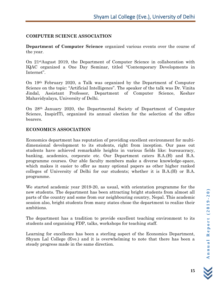#### **COMPUTER SCIENCE ASSOCIATION**

**Department of Computer Science** organized various events over the course of the year.

On 21stAugust 2019, the Department of Computer Science in collaboration with IQAC organized a One Day Seminar, titled "Contemporary Developments in Internet".

On 19th February 2020, a Talk was organized by the Department of Computer Science on the topic: "Artificial Intelligence". The speaker of the talk was Dr. Vinita Jindal, Assistant Professor, Department of Computer Science, Keshav Mahavidyalaya, University of Delhi.

On 28th January 2020, the Departmental Society of Department of Computer Science, InspirITi, organized its annual election for the selection of the office bearers.

#### **ECONOMICS ASSOCIATION**

Economics department has reputation of providing excellent environment for multidimensional development to its students, right from inception. Our pass out students have achieved remarkable heights in various fields like: bureaucracy, banking, academics, corporate etc. Our Department caters B.A.(H) and B.A. programme courses. Our able faculty members make a diverse knowledge-space, which makes it easier to offer as many optional papers as other higher ranked colleges of University of Delhi for our students; whether it is B.A.(H) or B.A. programme.

We started academic year 2019-20, as usual, with orientation programme for the new students. The department has been attracting bright students from almost all parts of the country and some from our neighbouring country, Nepal. This academic session also, bright students from many states chose the department to realize their ambitions.

The department has a tradition to provide excellent teaching environment to its students and organising FDP, talks, workshops for teaching staff.

Learning for excellence has been a sterling aspect of the Economics Department, Shyam Lal College (Eve.) and it is overwhelming to note that there has been a steady progress made in the same direction.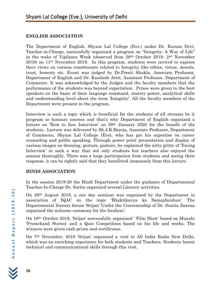#### **ENGLISH ASSOCIATION**

The Department of English, Shyam Lal College (Eve.) under Dr. Kusum Devi, Teacher-in-Charge, successfully organized a program on "Integrity: A Way of Life" in the wake of Vigilance Week (observed from 28th October 2019- 2nd November 2019) on 11th November 2019. In this program, students were invited to express their views on various constituents related to Integrity like ethics, virtue, morals, trust, honesty etc. Event was judged by Dr.Preeti Shukla, Associate Professor, Department of English and Dr. Kamlesh Attri, Assistant Professor, Department of Commerce. It was acknowledged by the Judges and the faculty members that the performance of the students was beyond expectation. Prizes were given to the best speakers on the basis of their language command, oratory power, analytical skills and understanding level about the term 'Integrity'. All the faculty members of the Department were present in the program.

Interview is such a topic which is beneficial for the students of all streams be it program or honours courses and that's why Department of English organized a lecture on 'How to face Interview' on 28th January 2020 for the benefit of the students.. Lecture was delivered by Sh.J.K.Bareja, Associate Professor, Department of Commerce, Shyam Lal College (Eve), who has got his expertise on career counseling and public speaking. Through power point presentation and display of various images on dressing, gesture, posture, he explained the nitty gritty of 'Facing Interview' in such a way that not only students but teachers also enjoyed the session thoroughly. There was a huge participation from students and seeing their response, it can be rightly said that they benefitted immensely from this lecture.

# **HINDI ASSOCIATION**

In the session 2019-20 the Hindi Department under the guidance of Departmental Teacher-In-Charge Dr. Sarita organized several Literary activities.

On 28th August 2019, a one day seminar was organized by the Department in association of IQAC on the topic 'Bhaktikavya ka Samajdarshan'. The Departmental literary forum 'Srijan' Under the Convenership of Dr. Sunita Saxena organized the welcome ceremony for the freshers'.

On 18th October 2019, 'Srijan' successfully organized ' Film Show' based on Munshi 'Premchand Stories' and a Quiz Competition based on his life and works. The winners were given cash prizes and certificates.

On 7th November, 2019 'Srijan' organized a visit to All India Radio New Delhi, which was an enriching experience for both students and Teachers. Students learnt technical and communicational skills through this visit.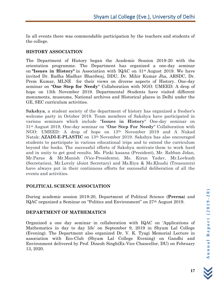In all events there was commendable participation by the teachers and students of the college.

## **HISTORY ASSOCIATION**

The Department of History began the Academic Session 2019-20 with the orientation programme. The Department has organized a one-day seminar on **"Issues in History"** in Association with IQAC on 31st August 2019. We have invited Dr. Radha Madhav Bhardwaj, DDU, Dr. Mihir Kumar Jha, ARSDC, Dr. Prem Kumar, MLNE for their views on diverse aspects of History. One-day seminar on "**One Step for Needy**" Collaboration with NGO: UMEED: A drop of hope on 13th November 2019. Departmental Students have visited different monuments, museums, National archives and Historical places in Delhi under the GE, SEC curriculum activities.

**Sakshya**, a student society of the department of history has organized a fresher's welcome party in October 2019. Team members of Sakshya have participated in various seminars which include "**Issues in History**" One-day seminar on 31st August 2019, One-day seminar on "**One Step For Needy**" Collaboration with NGO: UMEED: A drop of hope on 13th November 2019 and A Nukad Natak: **AZADI-E-PLASTIC** on 13th November 2019. Sakshya has also encouraged students to participate in various educational trips and to extend the curriculum beyond the books. The successful efforts of Sakshya motivate them to work hard and in unity to get good results. Ms. Pinki kasana (President), Mr. Rabban Jidan, Mr.Paras & Mr.Manish (Vice-Presidents), Ms. Kiran Yadav, Mr.Lovkush (Secretaries), Mr.Lovely (Joint Secretary) and Ms.Riya & Ms.Khushi (Treasurers) have always put in their continuous efforts for successful deliberation of all the events and activities.

#### **POLITICAL SCIENCE ASSOCIATION**

During academic session 2019-20, Department of Political Science (**Prerna**) and IQAC organized a Seminar on "Politics and Environment" on 27th August 2019.

# **DEPARTMENT OF MATHEMATICS**

Organized a one day seminar in collaboration with IQAC on 'Applications of Mathematics in day to day life' on September 9, 2019 in Shyam Lal College (Evening). The Department also organized Dr. V. K. Tyagi Memorial Lecture in association with Eco-Club (Shyam Lal College Evening) on Gandhi and Environment delivered by Prof. Dinesh Singh(Ex-Vice Chancellor, DU) on February 13, 2020.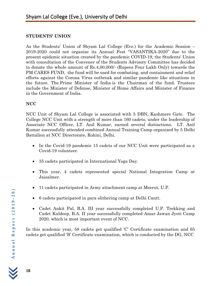#### **STUDENTS' UNION**

As the Students' Union of Shyam Lal College (Eve.) for the Academic Session – 2019-2020 could not organize its Annual Fest "VASANTIKA-2020" due to the present epidemic situation created by the pandemic COVID-19, the Students' Union with consultation of the Convener of the Students Advisory Committee has decided to donate the whole amount of Rs.4,00,000/- (Rupees Four Lakh Only) towards the PM CARES FUND, the fund will be used for combating, and containment and relief efforts against the Corona Virus outbreak and similar pandemic like situations in the future. The [Prime Minister of India](https://en.wikipedia.org/wiki/Prime_Minister_of_India) is the Chairman of the fund. Trustees include the Minister of Defense, Minister of Home Affairs and Minister of Finance in the Government of India.

# **NCC**

NCC Unit of Shyam Lal College is associated with 5 DBN, Kashmere Gate. The College NCC Unit with a strength of more than 160 cadets, under the leadership of Associate NCC Officer, LT. Anil Kumar, earned several distinctions. LT. Anil Kumar successfully attended combined Annual Training Camp organized by 5 Delhi Battalion at NCC Directorate, Rohini, Delhi.

- In the Covid-19 pandemic 15 cadets of our NCC Unit were participated as a Covid-19 volunteer.
- 35 cadets participated in International Yoga Day.
- This year, 4 cadets represented special National Integration Camp at Jaisalmer.
- 11 cadets participated in Army attachment camp at Meerut, U.P.
- 6 cadets participated in para slithering camp at Delhi Cantt.
- Cadet Ankit Pal, B.A. III year successfully completed U.P. Trekking and Cadet Kuldeep, B.A. II year successfully completed Amar Jawan Jyoti Camp 2020, which is most important event of NCC.

In this academic year, 58 cadets get qualified 'C' Certificate examination and 65 cadets get qualified 'B' Certificate examination, which is conducted by the DG, NCC

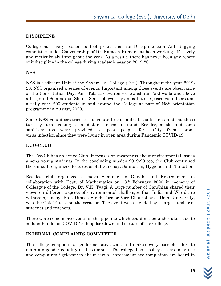# **DISCIPLINE**

College has every reason to feel proud that its Discipline cum Anti-Ragging committee under Convenership of Dr. Ramesh Kumar has been working effectively and meticulously throughout the year. As a result, there has never been any report of indiscipline in the college during academic session 2019-20.

## **NSS**

NSS is a vibrant Unit of the Shyam Lal College (Eve.). Throughout the year 2019- 20, NSS organized a series of events. Important among those events are observance of the Constitution Day, Anti-Tobacco awareness, Swachhta Pakhwada and above all a grand Seminar on Shanti Sena followed by an oath to be peace volunteers and a rally with 200 students in and around the College as part of NSS orientation programme in August, 2020.

Some NSS volunteers tried to distribute bread, milk, biscuits, fens and matthees turn by turn keeping social distance norms in mind. Besides, masks and some sanitizer too were provided to poor people for safety from corona virus infection since they were living in open area during Pandemic COVID-19.

## **ECO-CLUB**

The Eco-Club is an active Club. It focuses on awareness about environmental issues among young students. In the concluding session 2019-20 too, the Club continued the same. It organized lectures on Jal-Sanchay, Sanitation, Hygiene and Plantation.

Besides, club organized a mega Seminar on Gandhi and Environment in collaboration with Dept. of Mathematics on 13th February 2020 in memory of Colleague of the College, Dr. V.K. Tyagi. A large number of Gandhian shared their views on different aspects of environmental challenges that India and World are witnessing today. Prof. Dinesh Singh, former Vice Chancellor of Delhi University, was the Chief Guest on the occasion. The event was attended by a large number of students and teachers.

There were some more events in the pipeline which could not be undertaken due to sudden Pandemic COVID-19, long lockdown and closure of the College.

# **INTERNAL COMPLAINTS COMMITTEE**

The college campus is a gender sensitive zone and makes every possible effort to maintain gender equality in the campus. The college has a policy of zero tolerance and complaints / grievances about sexual harassment are complaints are heard in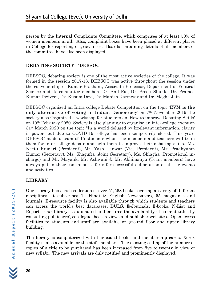person by the Internal Complaints Committee, which comprises of at least 50% of women members in all. Also, complaint boxes have been placed at different places in College for reporting of grievances. Boards containing details of all members of the committee have also been displayed.

## **DEBATING SOCIETY - 'DEBSOC'**

DEBSOC, debating society is one of the most active societies of the college. It was formed in the session 2017-18. DEBSOC was active throughout the session under the convenership of Kumar Prashant, Associate Professor, Department of Political Science and its committee members Dr. Anil Rai, Dr. Preeti Shukla, Dr. Pramod Kumar Dwivedi, Dr. Kusum Devi, Dr. Manish Karmwar and Dr. Megha Jain.

DEBSOC organized an Intra college Debate Competition on the topic **'EVM is the only alternative of voting in Indian Democracy'** on 7th November 2019 the society also Organized a workshop for students on 'How to improve Debating Skills' on 19th February 2020. Society is also planning to organise an inter-college event on 31st March 2020 on the topic "In a world deluged by irrelevant information, clarity is power" but due to COVID-19 college has been temporarily closed. This year, DEBSOC made a team of 15 students whom the members and teachers will train them for inter-college debate and help them to improve their debating skills. Ms. Neetu Kumari (President), Mr. Yash Tanwar (Vice President), Mr. Pradhyumn Kumar (Secretary), Ms. Shagufta (Joint Secretary), Ms. Shlagha (Promotional incharge) and Mr. Mayank, Mr. Ashwani & Mr. Abhimanyu (Team members) have always put in their continuous efforts for successful deliberation of all the events and activities.

# **LIBRARY**

Our Library has a rich collection of over 51,568 books covering an array of different disciplines. It subscribes 14 Hindi & English Newspapers, 55 magazines and journals. E-resource facility is also available through which students and teachers can access the world's best databases, DULS, E-Journals, E-books, N-List and Reports. Our library is automated and ensures the availability of current titles by consulting publishers', catalogue, book reviews and publisher websites. Open access facilities to students and staff are available on ground floor and upper library building.

The library is computerized with bar coded books and membership cards. Xerox facility is also available for the staff members. The existing ceiling of the number of copies of a title to be purchased has been increased from five to twenty in view of new syllabi. The new arrivals are duly notified and prominently displayed.

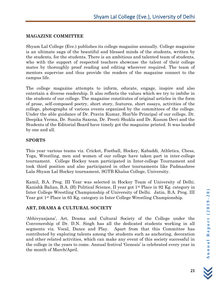## **MAGAZINE COMMITTEE**

Shyam Lal College (Eve.) publishes its college magazine annually. College magazine is an ultimate saga of the beautiful and blessed minds of the students, written by the students, for the students. There is an ambitious and talented team of students, who with the support of respected teachers showcase the talent of their college mates by thoroughly proof reading and editing wherever required. The team of mentors supervise and thus provide the readers of the magazine connect to the campus life.

The college magazine attempts to inform, educate, engage, inspire and also entertain a diverse readership. It also reflects the values which we try to imbibe in the students of our college. The magazine constitutes of original articles in the form of prose, self-composed poetry, short story, features, short essays, activities of the college, photographs of various events organized by the committees of the college. Under the able guidance of Dr. Pravin Kumar, Hon'ble Principal of our college, Dr. Deepika Verma, Dr. Sunita Saxena, Dr. Preeti Shukla and Dr. Kusum Devi and the Students of the Editorial Board have timely got the magazine printed. It was lauded by one and all.

#### **SPORTS**

This year various teams viz. Cricket, Football, Hockey, Kabaddi, Athletics, Chess, Yoga, Wrestling, men and women of our college have taken part in inter-college tournament. College Hockey team participated in Inter-college Tournament and took third position and also participated in other tournaments like Padmashree Lala Shyam Lal Hockey tournament, SGTB Khalsa College, University.

Kamil, B.A. Prog. III Year was selected in Hockey Team of University of Delhi. Kanishk Balian, B.A. (H) Political Science, II year got 1st Place in 92 Kg. category in Inter College Wrestling Championship of University of Delhi. Jatin, B.A. Prog. III Year got 1st Place in 65 Kg. category in Inter College Wrestling Championship.

# **ART, DRAMA & CULTURAL SOCIETY**

'Abhivyanjana', Art, Drama and Cultural Society of the College under the Convenership of Dr. D.N. Singh has all the dedicated students working in all segments viz. Vocal, Dance and Play. Apart from that this Committee has contributed by exploring talents among the students such as anchoring, decoration and other related activities, which can make any event of this society successful in the college in the years to come. Annual festival 'Genesis' is celebrated every year in the month of March/April.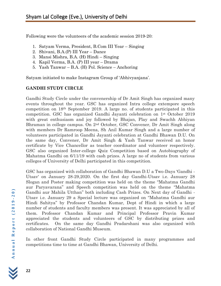Following were the volunteers of the academic session 2019-20:

- 1. Satyam Verma, President, B.Com III Year Singing
- 2. Shivani, B.A.(P) III Year Dance
- 3. Mansi Mishra, B.A. (H) Hindi Singing
- 4. Kapil Verma, B.A. (P) III year Drama
- 5. Yash Tanwar B.A. (H) Pol. Science Anchoring

Satyam initiated to make Instagram Group of 'Abhivyanjana'.

# **GANDHI STUDY CIRCLE**

Gandhi Study Circle under the convenership of Dr Amit Singh has organized many events throughout the year. GSC has organized Intra college extempore speech competition on 18th September 2019. A large no. of students participated in this competition. GSC has organized Gandhi Jayanti celebration on 1st October 2019 with great enthusiasm and joy followed by Bhajan, Play and Swachh Abhiyan Bhraman in college campus. On 2nd October, GSC Convener, Dr Amit Singh along with members Dr Ramroop Meena, Sh Anil Kumar Singh and a large number of volunteers participated in Gandhi Jayanti celebration at Gandhi Bhawan D.U. On the same day, Convener, Dr Amit Singh & Yash Tanwar received an honor certificate by Vice Chancellor as teacher coordinator and volunteer respectively. GSC also organized Inter-college Quiz Competition based on Autobiography of Mahatma Gandhi on 6/11/19 with cash prizes. A large no of students from various colleges of University of Delhi participated in this competition.

GSC has organized with collaboration of Gandhi Bhawan D.U a Two-Days 'Gandhi - Utsav' on January 28-29,2020. On the first day Gandhi-Utsav i.e. January 28 Slogan and Poster making competition was held on the theme "Mahatma Gandhi aur Paryavarana" and Speech competition was held on the theme "Mahatma Gandhi aur Mahila Utthan" both including Cash Prizes. On Next day of Gandhi - Utsav i.e. January 29 a Special lecture was organized on "Mahatma Gandhi aur Hindi Sahitya" by Professor Chandan Kumar, Dept of Hindi in which a large number of students and faculty members was present. It was appreciated by all of them. Professor Chandan Kumar and Principal Professor Pravin Kumar appreciated the students and volunteers of GSC by distributing prizes and certificates. On the same day Gandhi Pradarshani was also organized with collaboration of National Gandhi Museum.

In other front Gandhi Study Circle participated in many programmes and competitions time to time at Gandhi Bhawan, University of Delhi.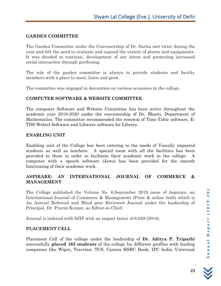## **GARDEN COMMITTEE**

The Garden Committee under the Convenership of Dr. Sarita met twice during the year and felt the need to evaluate and expand the variety of plants and equipments. It was decided to continue, development of our lawns and promoting increased social interaction through gardening.

The role of the garden committee is always to provide students and faculty members with a place to meet, learn and grow.

The committee was engaged in decoration on various occasions in the college.

# **COMPUTER SOFTWARE & WEBSITE COMMITTEE**

The computer Software and Website Committee has been active throughout the academic year 2019-2020 under the convenership of Dr. Bharti, Department of Mathematics. The committee recommended the renewal of Time-Table software, E-TDS Webtel Software and Libware software for Library.

#### **ENABLING UNIT**

Enabling unit of the College has been catering to the needs of Visually impaired students as well as teachers. A special room with all the facilities has been provided to them in order to facilitate their academic work in the college. A computer with a speech software (Jaws) has been provided for the smooth functioning of their academic work.

## **ASPIRARE: AN INTERNATIONAL JOURNAL OF COMMERCE & MANAGEMENT**

The College published the Volume No 6,September 2019 issue of Aspirare, an International Journal of Commerce & Management (Print & online both) which is An Annual Refereed and Blind peer Reviewed Journal under the leadership of Principal, Dr. Pravin Kumar, as Editor-in-Chief.

Journal is indexed with SJIF with an impact factor of 6.629 (2018).

#### **PLACEMENT CELL**

Placement Cell of the college under the leadership of **Dr. Aditya P. Tripathi** successfully **placed 163 students** of the college for different profiles with leading companies like Wipro, Travclan, TCS, Canara HSBC Bank, IPC India, Universal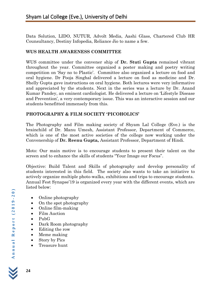Data Solution, LIDO, NUTUR, Advolt Media, Aashi Glass, Chartered Club HR Counsultancy, Destiny Infopedia, Reliance Jio to name a few.

## **WUS HEALTH AWARENESS COMMITTEE**

WUS committee under the convener ship of **Dr. Stuti Gupta** remained vibrant throughout the year. Committee organized a poster making and poetry writing competition on 'Say no to Plastic'. Committee also organized a lecture on food and oral hygiene. Dr Pooja Singhal delivered a lecture on food as medicine and Dr. Shelly Gupta gave instructions on oral hygiene. Both lectures were very informative and appreciated by the students. Next in the series was a lecture by Dr. Anand Kumar Pandey, an eminent cardiologist. He delivered a lecture on 'Lifestyle Disease and Prevention', a very contemporary issue. This was an interactive session and our students benefitted immensely from this.

# **PHOTOGRAPHY & FILM SOCIETY 'PICOHOLICS'**

The Photography and Film making society of Shyam Lal College (Eve.) is the brainchild of Dr. Manu Umesh, Assistant Professor, Department of Commerce, which is one of the most active societies of the college now working under the Convenership of **Dr. Reenu Gupta,** Assistant Professor, Department of Hindi.

Moto: Our main motive is to encourage students to present their talent on the screen and to enhance the skills of students "Your Image our Focus".

Objective: Build Talent and Skills of photography and develop personality of students interested in this field. The society also wants to take an initiative to actively organize multiple photo-walks, exhibitions and trips to encourage students. Annual Fest Synapse'19 is organized every year with the different events, which are listed below:

- Online photography
- On the spot photography
- Online film-making
- Film Auction
- PubG
- Dark Room photography
- Editing the row
- Meme making
- Story by Pics
- Treasure hunt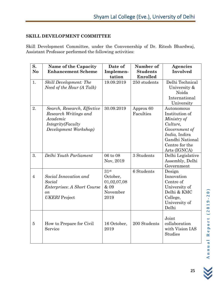## **SKILL DEVELOPMENT COMMITTEE**

Skill Development Committee, under the Convenership of Dr. Ritesh Bhardwaj, Assistant Professor performed the following activities:

| S.<br>N <sub>o</sub> | Name of the Capacity<br><b>Enhancement Scheme</b>                                                                | Date of<br>Implemen-                                        | Number of<br><b>Students</b> | Agencies<br>Involved                                                                                                                           |
|----------------------|------------------------------------------------------------------------------------------------------------------|-------------------------------------------------------------|------------------------------|------------------------------------------------------------------------------------------------------------------------------------------------|
|                      |                                                                                                                  | tation                                                      | Enrolled                     |                                                                                                                                                |
| 1.                   | <b>Skill Development: The</b><br>Need of the Hour (A Talk)                                                       | 19.09.2019                                                  | 250 students                 | Delhi Technical<br>University &<br>Noida<br>International<br>University                                                                        |
| 2.                   | Search, Research, Effective<br>Research Writings and<br>Academic<br>Integrity(Faculty<br>Development Workshop)   | 30.09.2019                                                  | Approx 60<br>Faculties       | Autonomous<br>Institution of<br>Ministry of<br>Culture,<br>Government of<br>India, Indira<br>Gandhi National<br>Centre for the<br>Arts (IGNCA) |
| 3.                   | Delhi Youth Parliament                                                                                           | 06 to 08<br>Nov, 2019                                       | 3 Students                   | Delhi Legislative<br>Assembly, Delhi<br>Government                                                                                             |
| $\overline{4}$       | Social Innovation and<br>Social<br><b>Enterprises: A Short Course</b><br>$\overline{on}$<br><b>UKERI</b> Project | 31st<br>October,<br>01,02,07,08<br>& 09<br>November<br>2019 | 6 Students                   | Design<br>Innovation<br>Centre of<br>University of<br>Delhi & KMC<br>College,<br>University of<br>Delhi                                        |
| $\overline{5}$       | How to Prepare for Civil<br>Service                                                                              | 16 October,<br>2019                                         | 200 Students                 | Joint<br>collaboration<br>with Vision IAS<br><b>Studies</b>                                                                                    |

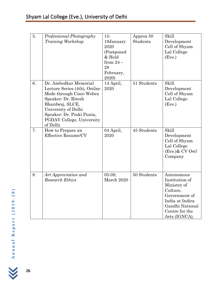| 5. | Professional Photography<br>Training Workshop                                                                                                                                                                            | $15-$<br>19January<br>2020<br>(Postponed)<br>& Held<br>from $24-$<br>28<br>February,<br>2020) | Approx 50<br><b>Students</b> | Skill<br>Development<br>Cell of Shyam<br>Lal College<br>(Eve.)                                                                                    |
|----|--------------------------------------------------------------------------------------------------------------------------------------------------------------------------------------------------------------------------|-----------------------------------------------------------------------------------------------|------------------------------|---------------------------------------------------------------------------------------------------------------------------------------------------|
| 6. | Dr. Ambedkar Memorial<br>Lecture Series (4th), Onilne<br>Mode through Cisco Webex<br>Speaker: Dr. Ritesh<br>Bhardwaj, SLCE,<br>University of Delhi<br>Speaker: Dr. Pinki Punia,<br>PGDAV College, University<br>of Delhi | 14 April,<br>2020                                                                             | 51 Students                  | Skill<br>Development<br>Cell of Shyam<br>Lal College<br>(Eve.)                                                                                    |
| 7. | How to Prepare an<br><b>Effective Resume/CV</b>                                                                                                                                                                          | 04 April,<br>2020                                                                             | 45 Students                  | Skill<br>Development<br>Cell of Shyam<br>Lal College<br>$(Eve.)$ & CV Owl<br>Company                                                              |
| 8. | Art Appreciation and<br><b>Research Ethics</b>                                                                                                                                                                           | $05-08,$<br>March 2020                                                                        | 50 Students                  | Autonomous<br>Institution of<br>Ministry of<br>Culture,<br>Government of<br>India at Indira<br>Gandhi National<br>Centre for the<br>Arts (IGNCA), |